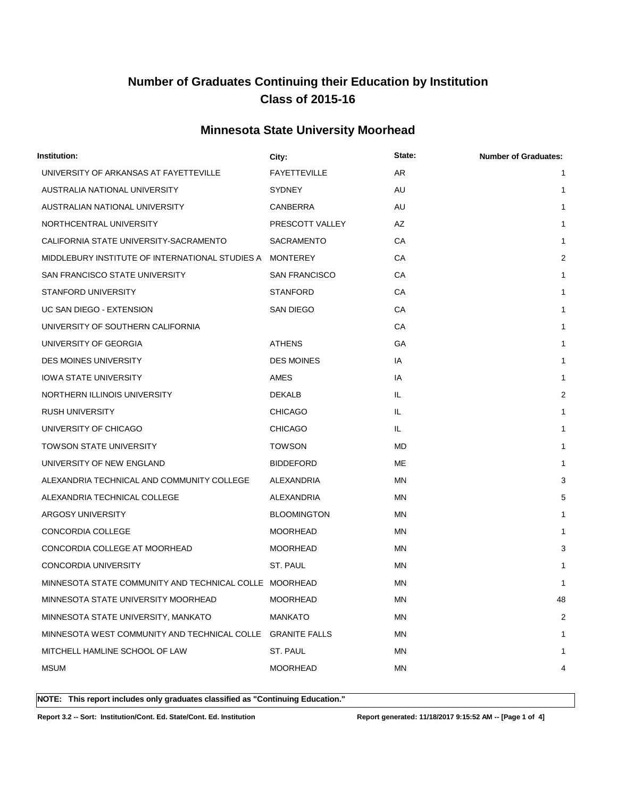## **Minnesota State University Moorhead**

| Institution:                                             | City:                | State: | <b>Number of Graduates:</b> |
|----------------------------------------------------------|----------------------|--------|-----------------------------|
| UNIVERSITY OF ARKANSAS AT FAYETTEVILLE                   | <b>FAYETTEVILLE</b>  | AR     | 1                           |
| AUSTRALIA NATIONAL UNIVERSITY                            | <b>SYDNEY</b>        | AU     | 1                           |
| AUSTRALIAN NATIONAL UNIVERSITY                           | CANBERRA             | AU     | 1                           |
| NORTHCENTRAL UNIVERSITY                                  | PRESCOTT VALLEY      | AZ     | 1                           |
| CALIFORNIA STATE UNIVERSITY-SACRAMENTO                   | <b>SACRAMENTO</b>    | СA     | 1                           |
| MIDDLEBURY INSTITUTE OF INTERNATIONAL STUDIES A MONTEREY |                      | СA     | $\overline{2}$              |
| SAN FRANCISCO STATE UNIVERSITY                           | <b>SAN FRANCISCO</b> | СA     | 1                           |
| <b>STANFORD UNIVERSITY</b>                               | <b>STANFORD</b>      | СA     | 1                           |
| UC SAN DIEGO - EXTENSION                                 | SAN DIEGO            | СA     | 1                           |
| UNIVERSITY OF SOUTHERN CALIFORNIA                        |                      | СA     | 1                           |
| UNIVERSITY OF GEORGIA                                    | <b>ATHENS</b>        | GA     | 1                           |
| <b>DES MOINES UNIVERSITY</b>                             | <b>DES MOINES</b>    | IA     | 1                           |
| <b>IOWA STATE UNIVERSITY</b>                             | <b>AMES</b>          | IA     | 1                           |
| NORTHERN ILLINOIS UNIVERSITY                             | <b>DEKALB</b>        | IL.    | 2                           |
| <b>RUSH UNIVERSITY</b>                                   | <b>CHICAGO</b>       | IL.    | 1                           |
| UNIVERSITY OF CHICAGO                                    | <b>CHICAGO</b>       | IL.    | 1                           |
| <b>TOWSON STATE UNIVERSITY</b>                           | <b>TOWSON</b>        | MD.    | 1                           |
| UNIVERSITY OF NEW ENGLAND                                | <b>BIDDEFORD</b>     | ME     | 1                           |
| ALEXANDRIA TECHNICAL AND COMMUNITY COLLEGE               | ALEXANDRIA           | ΜN     | 3                           |
| ALEXANDRIA TECHNICAL COLLEGE                             | ALEXANDRIA           | ΜN     | 5                           |
| <b>ARGOSY UNIVERSITY</b>                                 | <b>BLOOMINGTON</b>   | ΜN     | 1                           |
| CONCORDIA COLLEGE                                        | <b>MOORHEAD</b>      | ΜN     | 1                           |
| CONCORDIA COLLEGE AT MOORHEAD                            | <b>MOORHEAD</b>      | ΜN     | 3                           |
| CONCORDIA UNIVERSITY                                     | ST. PAUL             | ΜN     | 1                           |
| MINNESOTA STATE COMMUNITY AND TECHNICAL COLLE MOORHEAD   |                      | ΜN     | 1                           |
| MINNESOTA STATE UNIVERSITY MOORHEAD                      | <b>MOORHEAD</b>      | ΜN     | 48                          |
| MINNESOTA STATE UNIVERSITY, MANKATO                      | <b>MANKATO</b>       | ΜN     | 2                           |
| MINNESOTA WEST COMMUNITY AND TECHNICAL COLLE             | <b>GRANITE FALLS</b> | ΜN     | 1                           |
| MITCHELL HAMLINE SCHOOL OF LAW                           | ST. PAUL             | MN     |                             |
| <b>MSUM</b>                                              | <b>MOORHEAD</b>      | MN     | 4                           |
|                                                          |                      |        |                             |

**NOTE: This report includes only graduates classified as "Continuing Education."** 

**Report 3.2 -- Sort: Institution/Cont. Ed. State/Cont. Ed. Institution Report generated: 11/18/2017 9:15:52 AM -- [Page 1 of 4]**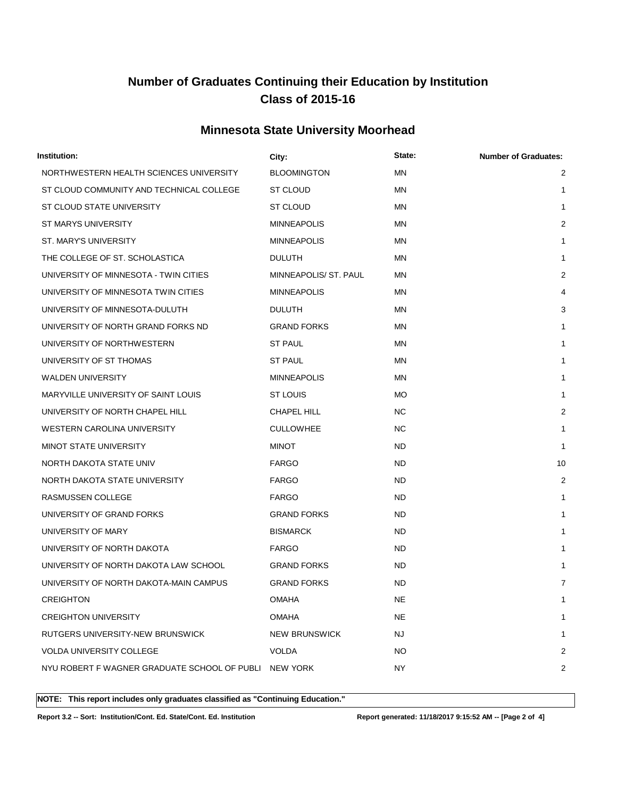## **Minnesota State University Moorhead**

| Institution:                                          | City:                 | State:    | <b>Number of Graduates:</b> |
|-------------------------------------------------------|-----------------------|-----------|-----------------------------|
| NORTHWESTERN HEALTH SCIENCES UNIVERSITY               | <b>BLOOMINGTON</b>    | <b>MN</b> | $\overline{c}$              |
| ST CLOUD COMMUNITY AND TECHNICAL COLLEGE              | ST CLOUD              | ΜN        | 1                           |
| ST CLOUD STATE UNIVERSITY                             | ST CLOUD              | ΜN        | 1                           |
| ST MARYS UNIVERSITY                                   | <b>MINNEAPOLIS</b>    | ΜN        | $\overline{2}$              |
| ST. MARY'S UNIVERSITY                                 | <b>MINNEAPOLIS</b>    | ΜN        | 1                           |
| THE COLLEGE OF ST. SCHOLASTICA                        | <b>DULUTH</b>         | MN        | 1                           |
| UNIVERSITY OF MINNESOTA - TWIN CITIES                 | MINNEAPOLIS/ ST. PAUL | ΜN        | 2                           |
| UNIVERSITY OF MINNESOTA TWIN CITIES                   | <b>MINNEAPOLIS</b>    | ΜN        | 4                           |
| UNIVERSITY OF MINNESOTA-DULUTH                        | <b>DULUTH</b>         | MN        | 3                           |
| UNIVERSITY OF NORTH GRAND FORKS ND                    | <b>GRAND FORKS</b>    | MN        | 1                           |
| UNIVERSITY OF NORTHWESTERN                            | <b>ST PAUL</b>        | ΜN        | 1                           |
| UNIVERSITY OF ST THOMAS                               | ST PAUL               | ΜN        | 1                           |
| <b>WALDEN UNIVERSITY</b>                              | <b>MINNEAPOLIS</b>    | ΜN        | 1                           |
| MARYVILLE UNIVERSITY OF SAINT LOUIS                   | ST LOUIS              | МO        | 1                           |
| UNIVERSITY OF NORTH CHAPEL HILL                       | CHAPEL HILL           | <b>NC</b> | $\overline{2}$              |
| <b>WESTERN CAROLINA UNIVERSITY</b>                    | <b>CULLOWHEE</b>      | <b>NC</b> | 1                           |
| MINOT STATE UNIVERSITY                                | <b>MINOT</b>          | ND.       | 1                           |
| NORTH DAKOTA STATE UNIV                               | <b>FARGO</b>          | ND.       | 10                          |
| NORTH DAKOTA STATE UNIVERSITY                         | <b>FARGO</b>          | <b>ND</b> | 2                           |
| RASMUSSEN COLLEGE                                     | <b>FARGO</b>          | <b>ND</b> | 1                           |
| UNIVERSITY OF GRAND FORKS                             | <b>GRAND FORKS</b>    | <b>ND</b> | 1                           |
| UNIVERSITY OF MARY                                    | <b>BISMARCK</b>       | <b>ND</b> | 1                           |
| UNIVERSITY OF NORTH DAKOTA                            | <b>FARGO</b>          | <b>ND</b> | 1                           |
| UNIVERSITY OF NORTH DAKOTA LAW SCHOOL                 | <b>GRAND FORKS</b>    | ND.       | 1                           |
| UNIVERSITY OF NORTH DAKOTA-MAIN CAMPUS                | <b>GRAND FORKS</b>    | <b>ND</b> | 7                           |
| <b>CREIGHTON</b>                                      | <b>OMAHA</b>          | <b>NE</b> | 1                           |
| <b>CREIGHTON UNIVERSITY</b>                           | <b>OMAHA</b>          | <b>NE</b> | 1                           |
| RUTGERS UNIVERSITY-NEW BRUNSWICK                      | <b>NEW BRUNSWICK</b>  | NJ        | 1                           |
| <b>VOLDA UNIVERSITY COLLEGE</b>                       | <b>VOLDA</b>          | NO.       | 2                           |
| NYU ROBERT F WAGNER GRADUATE SCHOOL OF PUBLI NEW YORK |                       | NY.       | 2                           |
|                                                       |                       |           |                             |

**NOTE: This report includes only graduates classified as "Continuing Education."** 

**Report 3.2 -- Sort: Institution/Cont. Ed. State/Cont. Ed. Institution Report generated: 11/18/2017 9:15:52 AM -- [Page 2 of 4]**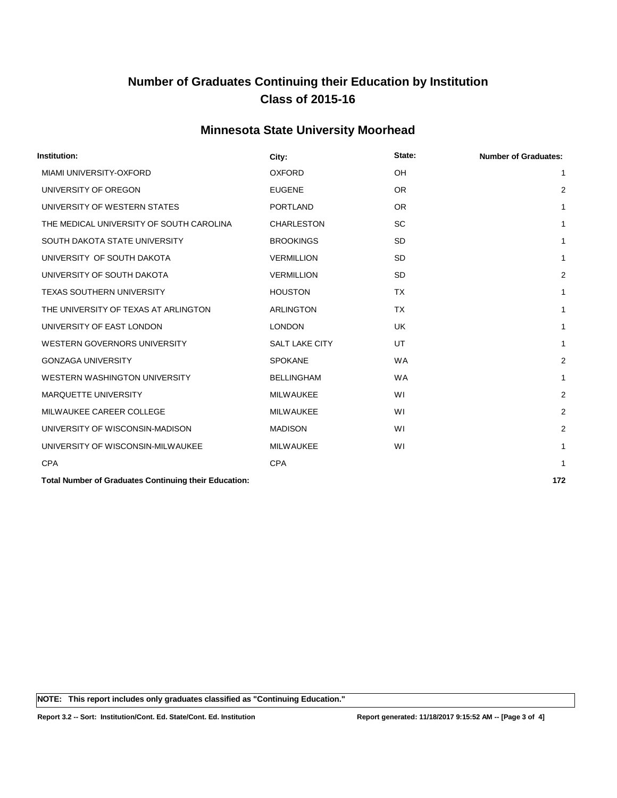## **Minnesota State University Moorhead**

| Institution:                                                                                                      | City:                 | State:    | <b>Number of Graduates:</b> |
|-------------------------------------------------------------------------------------------------------------------|-----------------------|-----------|-----------------------------|
| MIAMI UNIVERSITY-OXFORD                                                                                           | <b>OXFORD</b>         | OH        | 1                           |
| UNIVERSITY OF OREGON                                                                                              | <b>EUGENE</b>         | <b>OR</b> |                             |
| UNIVERSITY OF WESTERN STATES                                                                                      | <b>PORTLAND</b>       | OR.       |                             |
| THE MEDICAL UNIVERSITY OF SOUTH CAROLINA                                                                          | <b>CHARLESTON</b>     | <b>SC</b> |                             |
| SOUTH DAKOTA STATE UNIVERSITY                                                                                     | <b>BROOKINGS</b>      | <b>SD</b> |                             |
| UNIVERSITY OF SOUTH DAKOTA                                                                                        | <b>VERMILLION</b>     | <b>SD</b> |                             |
| UNIVERSITY OF SOUTH DAKOTA                                                                                        | <b>VERMILLION</b>     | <b>SD</b> | 2                           |
| <b>TEXAS SOUTHERN UNIVERSITY</b>                                                                                  | <b>HOUSTON</b>        | <b>TX</b> |                             |
| THE UNIVERSITY OF TEXAS AT ARLINGTON                                                                              | <b>ARLINGTON</b>      | <b>TX</b> |                             |
| UNIVERSITY OF EAST LONDON                                                                                         | <b>LONDON</b>         | <b>UK</b> |                             |
| <b>WESTERN GOVERNORS UNIVERSITY</b>                                                                               | <b>SALT LAKE CITY</b> | UT        |                             |
| <b>GONZAGA UNIVERSITY</b>                                                                                         | <b>SPOKANE</b>        | <b>WA</b> | 2                           |
| WESTERN WASHINGTON UNIVERSITY                                                                                     | <b>BELLINGHAM</b>     | <b>WA</b> |                             |
| <b>MARQUETTE UNIVERSITY</b>                                                                                       | <b>MILWAUKEE</b>      | WI        | 2                           |
| MILWAUKEE CAREER COLLEGE                                                                                          | <b>MILWAUKEE</b>      | WI        | 2                           |
| UNIVERSITY OF WISCONSIN-MADISON                                                                                   | <b>MADISON</b>        | WI        | 2                           |
| UNIVERSITY OF WISCONSIN-MILWAUKEE                                                                                 | <b>MILWAUKEE</b>      | WI        |                             |
| <b>CPA</b>                                                                                                        | <b>CPA</b>            |           |                             |
| waa kale kale dadka kale kale kale kale ya matsa ya katika katika mwaka wa katika mwaka wa katika mwaka wa katika |                       |           |                             |

**Total Number of Graduates Continuing their Education: 172**

**NOTE: This report includes only graduates classified as "Continuing Education."** 

**Report 3.2 -- Sort: Institution/Cont. Ed. State/Cont. Ed. Institution Report generated: 11/18/2017 9:15:52 AM -- [Page 3 of 4]**